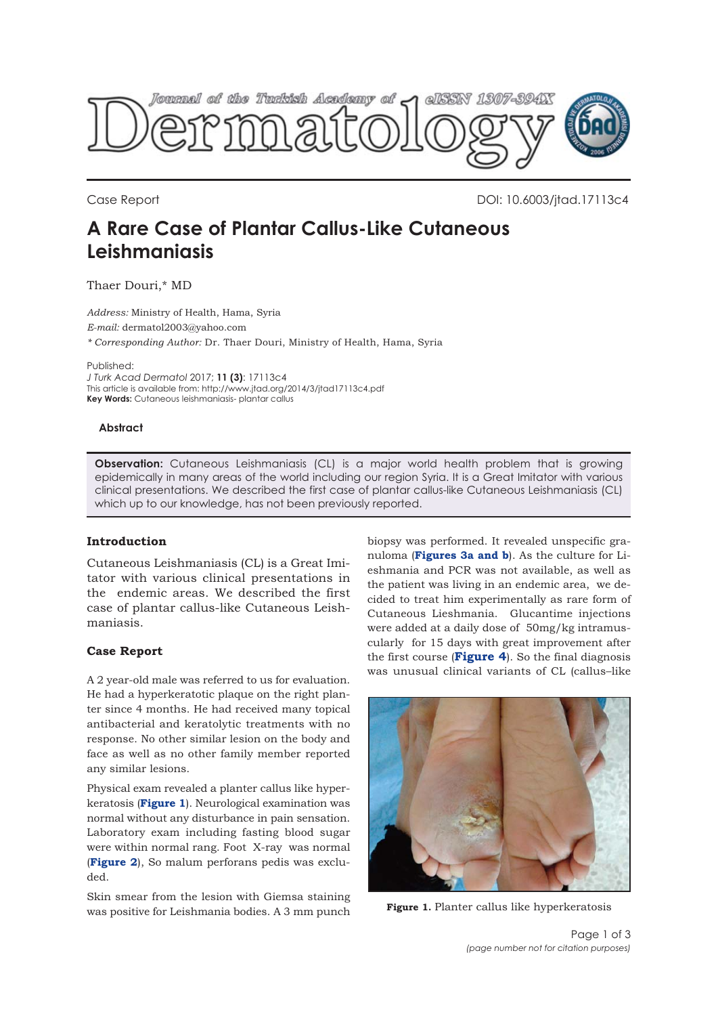

Case Report DOI: 10.6003/jtad.17113c4

# **A Rare Case of Plantar Callus-Like Cutaneous Leishmaniasis**

Thaer Douri,\* MD

*Address:* Ministry of Health, Hama, Syria *E-mail:* dermatol2003@yahoo.com *\* Corresponding Author:* Dr. Thaer Douri, Ministry of Health, Hama, Syria

Published:

*J Turk Acad Dermatol* 2017; **11 (3)**: 17113c4 This article is available from: http://www.jtad.org/2014/3/jtad17113c4.pdf **Key Words:** Cutaneous leishmaniasis- plantar callus

#### **Abstract**

**Observation:** Cutaneous Leishmaniasis (CL) is a major world health problem that is growing epidemically in many areas of the world including our region Syria. It is a Great Imitator with various clinical presentations. We described the first case of plantar callus-like Cutaneous Leishmaniasis (CL) which up to our knowledge, has not been previously reported.

### **Introduction**

Cutaneous Leishmaniasis (CL) is a Great Imitator with various clinical presentations in the endemic areas. We described the first case of plantar callus-like Cutaneous Leishmaniasis.

### **Case Report**

A 2 year-old male was referred to us for evaluation. He had a hyperkeratotic plaque on the right planter since 4 months. He had received many topical antibacterial and keratolytic treatments with no response. No other similar lesion on the body and face as well as no other family member reported any similar lesions.

Physical exam revealed a planter callus like hyperkeratosis (**Figure 1**). Neurological examination was normal without any disturbance in pain sensation. Laboratory exam including fasting blood sugar were within normal rang. Foot X-ray was normal (**[Figure 2](#page-1-0)**), So malum perforans pedis was excluded.

Skin smear from the lesion with Giemsa staining was positive for Leishmania bodies. A 3 mm punch

biopsy was performed. It revealed unspecific granuloma (**[Figures 3a and b](#page-1-0)**). As the culture for Lieshmania and PCR was not available, as well as the patient was living in an endemic area, we decided to treat him experimentally as rare form of Cutaneous Lieshmania. Glucantime injections were added at a daily dose of 50mg/kg intramuscularly for 15 days with great improvement after the first course (**[Figure 4](#page-2-0)**). So the final diagnosis was unusual clinical variants of CL (callus–like



**Figure 1.** Planter callus like hyperkeratosis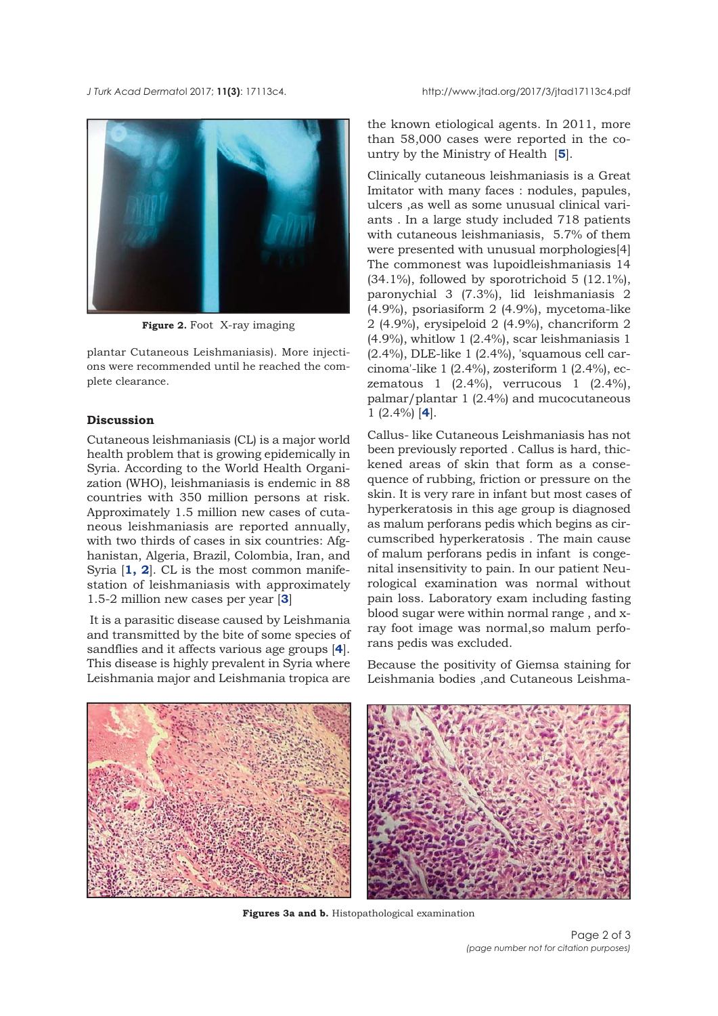<span id="page-1-0"></span>*J Turk Acad Dermato*l 2017; **11(3)**: 17113c4. http://www.jtad.org/2017/3/jtad17113c4.pdf



**Figure 2.** Foot X-ray imaging

plantar Cutaneous Leishmaniasis). More injections were recommended until he reached the complete clearance.

## **Discussion**

Cutaneous leishmaniasis (CL) is a major world health problem that is growing epidemically in Syria. According to the World Health Organization (WHO), leishmaniasis is endemic in 88 countries with 350 million persons at risk. Approximately 1.5 million new cases of cutaneous leishmaniasis are reported annually, with two thirds of cases in six countries: Afghanistan, Algeria, Brazil, Colombia, Iran, and Syria [**[1,](#page-2-0) [2](#page-2-0)**]. CL is the most common manifestation of leishmaniasis with approximately 1.5-2 million new cases per year [**[3](#page-2-0)**]

It is a parasitic disease caused by Leishmania and transmitted by the bite of some species of sandflies and it affects various age groups [**[4](#page-2-0)**]. This disease is highly prevalent in Syria where Leishmania major and Leishmania tropica are

the known etiological agents. In 2011, more than 58,000 cases were reported in the country by the Ministry of Health [**[5](#page-2-0)**].

Clinically cutaneous leishmaniasis is a Great Imitator with many faces : nodules, papules, ulcers ,as well as some unusual clinical variants . In a large study included 718 patients with cutaneous leishmaniasis, 5.7% of them were presented with unusual morphologies[4] The commonest was lupoidleishmaniasis 14 (34.1%), followed by sporotrichoid 5 (12.1%), paronychial 3 (7.3%), lid leishmaniasis 2 (4.9%), psoriasiform 2 (4.9%), mycetoma-like 2 (4.9%), erysipeloid 2 (4.9%), chancriform 2 (4.9%), whitlow 1 (2.4%), scar leishmaniasis 1 (2.4%), DLE-like 1 (2.4%), 'squamous cell carcinoma'-like 1 (2.4%), zosteriform 1 (2.4%), eczematous 1 (2.4%), verrucous 1 (2.4%), palmar/plantar 1 (2.4%) and mucocutaneous 1 (2.4%) [**[4](#page-2-0)**].

Callus- like Cutaneous Leishmaniasis has not been previously reported . Callus is hard, thickened areas of skin that form as a consequence of rubbing, friction or pressure on the skin. It is very rare in infant but most cases of hyperkeratosis in this age group is diagnosed as malum perforans pedis which begins as circumscribed hyperkeratosis . The main cause of malum perforans pedis in infant is congenital insensitivity to pain. In our patient Neurological examination was normal without pain loss. Laboratory exam including fasting blood sugar were within normal range , and xray foot image was normal,so malum perforans pedis was excluded.

Because the positivity of Giemsa staining for Leishmania bodies ,and Cutaneous Leishma-



**Figures 3a and b.** Histopathological examination